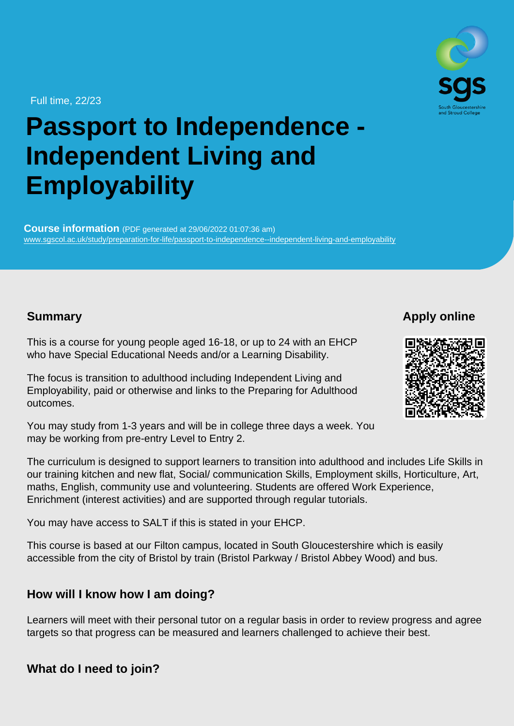Full time, 22/23

# Passport to Independence - Independent Living and **Employability**

Course information (PDF generated at 29/06/2022 01:07:36 am) [www.sgscol.ac.uk/study/preparation-for-life/passport-to-independence--independent-living-and-employability](https://www.sgscol.ac.uk/study/preparation-for-life/passport-to-independence--independent-living-and-employability)

Summary

Apply online

This is a course for young people aged 16-18, or up to 24 with an EHCP who have Special Educational Needs and/or a Learning Disability.

The focus is transition to adulthood including Independent Living and Employability, paid or otherwise and links to the Preparing for Adulthood outcomes.

You may study from 1-3 years and will be in college three days a week. You may be working from pre-entry Level to Entry 2.

The curriculum is designed to support learners to transition into adulthood and includes Life Skills in our training kitchen and new flat, Social/ communication Skills, Employment skills, Horticulture, Art, maths, English, community use and volunteering. Students are offered Work Experience, Enrichment (interest activities) and are supported through regular tutorials.

You may have access to SALT if this is stated in your EHCP.

This course is based at our Filton campus, located in South Gloucestershire which is easily accessible from the city of Bristol by train (Bristol Parkway / Bristol Abbey Wood) and bus.

How will I know how I am doing?

Learners will meet with their personal tutor on a regular basis in order to review progress and agree targets so that progress can be measured and learners challenged to achieve their best.

What do I need to join?